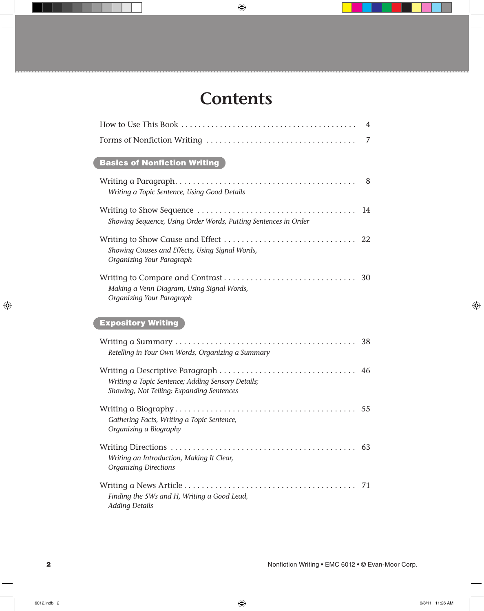# **Contents**

 $\bigoplus$ 

| 4                                                                                              |  |
|------------------------------------------------------------------------------------------------|--|
| 7                                                                                              |  |
| <b>Basics of Nonfiction Writing</b>                                                            |  |
| 8<br>Writing a Topic Sentence, Using Good Details                                              |  |
| Showing Sequence, Using Order Words, Putting Sentences in Order                                |  |
| Showing Causes and Effects, Using Signal Words,<br>Organizing Your Paragraph                   |  |
| Making a Venn Diagram, Using Signal Words,<br>Organizing Your Paragraph                        |  |
| <b>Expository Writing</b>                                                                      |  |
| Retelling in Your Own Words, Organizing a Summary                                              |  |
| Writing a Topic Sentence; Adding Sensory Details;<br>Showing, Not Telling; Expanding Sentences |  |
| Gathering Facts, Writing a Topic Sentence,<br>Organizing a Biography                           |  |
| Writing an Introduction, Making It Clear,<br><b>Organizing Directions</b>                      |  |
| 71<br>Finding the 5Ws and H, Writing a Good Lead,<br><b>Adding Details</b>                     |  |

 $\bigoplus$ 

 $\bigoplus$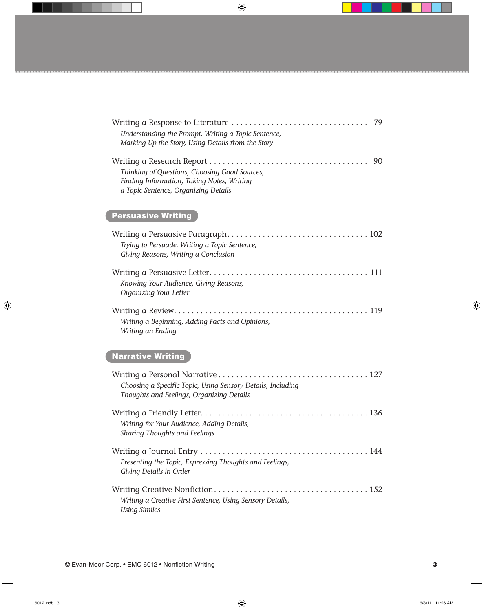| Writing a Response to Literature<br>79<br>Understanding the Prompt, Writing a Topic Sentence,<br>Marking Up the Story, Using Details from the Story |
|-----------------------------------------------------------------------------------------------------------------------------------------------------|
| 90<br>Thinking of Questions, Choosing Good Sources,<br>Finding Information, Taking Notes, Writing<br>a Topic Sentence, Organizing Details           |
| <b>Persuasive Writing</b>                                                                                                                           |
| Trying to Persuade, Writing a Topic Sentence,<br>Giving Reasons, Writing a Conclusion                                                               |
| Knowing Your Audience, Giving Reasons,<br>Organizing Your Letter                                                                                    |
| Writing a Beginning, Adding Facts and Opinions,<br>Writing an Ending                                                                                |
| Narrative Writing                                                                                                                                   |
| Choosing a Specific Topic, Using Sensory Details, Including<br>Thoughts and Feelings, Organizing Details                                            |
| Writing for Your Audience, Adding Details,<br>Sharing Thoughts and Feelings                                                                         |
| Presenting the Topic, Expressing Thoughts and Feelings,<br>Giving Details in Order                                                                  |
| Writing a Creative First Sentence, Using Sensory Details,<br><b>Using Similes</b>                                                                   |

 $\bigoplus$ 

 $\bigoplus$ 

 $\bigoplus$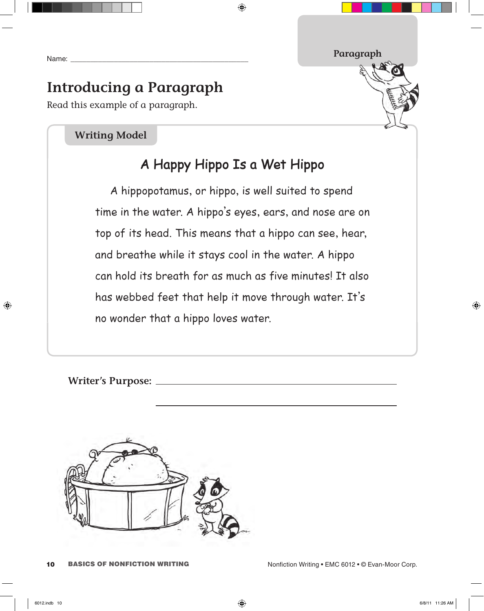Name:

⊕

## **Introducing a Paragraph**

Read this example of a paragraph.

#### **Writing Model**

### **A Happy Hippo Is a Wet Hippo**

 $\bigoplus$ 

A hippopotamus, or hippo, is well suited to spend time in the water. A hippo's eyes, ears, and nose are on top of its head. This means that a hippo can see, hear, and breathe while it stays cool in the water. A hippo can hold its breath for as much as five minutes! It also has webbed feet that help it move through water. It's no wonder that a hippo loves water.

**Writer's Purpose:**



**Paragraph**

⊕

<sup>10</sup> BASICS OF NONFICTION WRITING Nonfiction Writing • EMC 6012 • © Evan-Moor Corp.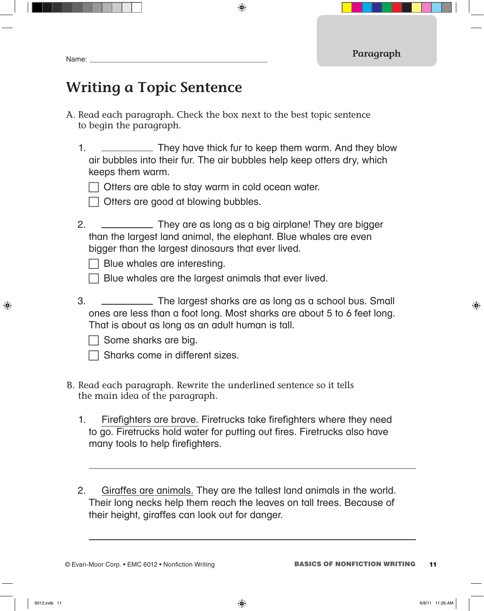### **Writing a Topic Sentence**

- A. Read each paragraph. Check the box next to the best topic sentence to begin the paragraph.
	- 1. They have thick fur to keep them warm. And they blow air bubbles into their fur. The air bubbles help keep otters dry, which keeps them warm.

 $\bigoplus$ 

 $\Box$  Otters are able to stay warm in cold ocean water.

| | Otters are good at blowing bubbles.

2. They are as long as a big airplane! They are bigger than the largest land animal, the elephant. Blue whales are even bigger than the largest dinosaurs that ever lived.

 $\Box$  Blue whales are interesting.

 $\Box$  Blue whales are the largest animals that ever lived.

3. The largest sharks are as long as a school bus. Small ones are less than a foot long. Most sharks are about 5 to 6 feet long. That is about as long as an adult human is tall.

 Some sharks are big.

| Sharks come in different sizes. |  |  |
|---------------------------------|--|--|
|---------------------------------|--|--|

- B. Read each paragraph. Rewrite the underlined sentence so it tells the main idea of the paragraph.
	- 1. Firefighters are brave. Firetrucks take firefighters where they need to go. Firetrucks hold water for putting out fires. Firetrucks also have many tools to help firefighters.
	- 2. Giraffes are animals. They are the tallest land animals in the world. Their long necks help them reach the leaves on tall trees. Because of their height, giraffes can look out for danger.

↔

⊕